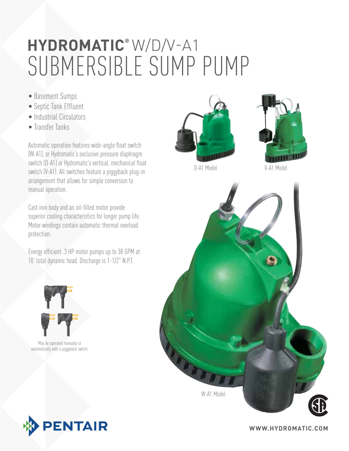# Submersible Sump Pump **hydromatic®** W/D/V-A1

- Basement Sumps
- Septic Tank Effluent
- Industrial Circulators
- Transfer Tanks

Automatic operation features wide-angle float switch (W-A1), or Hydromatic's exclusive pressure diaphragm switch (D-A1) or Hydromatic's vertical, mechanical float switch (V-A1). All switches feature a piggyback plug-in arrangement that allows for simple conversion to manual operation.

Cast iron body and an oil-filled motor provide superior cooling characteristics for longer pump life. Motor windings contain automatic thermal overload protection.

Energy efficient .3 HP motor pumps up to 38 GPM at 10' total dynamic head. Discharge is 1-1/2" N.P.T.



May be operated manually or automatically with a piggyback switch.







D-A1 Model V-A1 Model



**www.hydromatic.com**